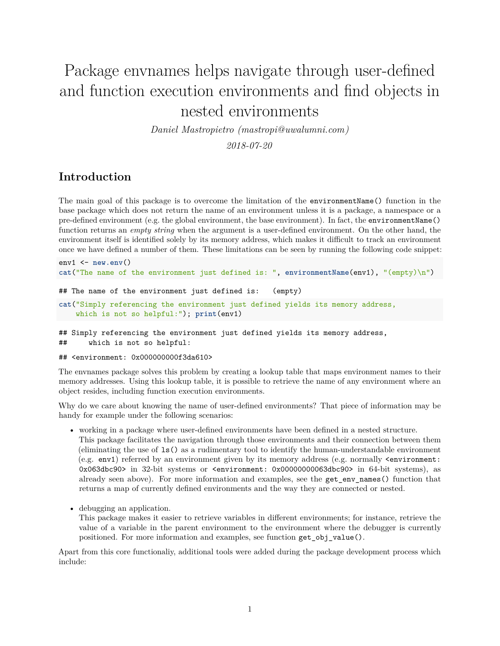# Package envnames helps navigate through user-defined and function execution environments and find objects in nested environments

*Daniel Mastropietro [\(mastropi@uwalumni.com\)](mailto:mastropi@uwalumni.com)*

*2018-07-20*

# **Introduction**

The main goal of this package is to overcome the limitation of the environmentName() function in the base package which does not return the name of an environment unless it is a package, a namespace or a pre-defined environment (e.g. the global environment, the base environment). In fact, the environmentName() function returns an *empty string* when the argument is a user-defined environment. On the other hand, the environment itself is identified solely by its memory address, which makes it difficult to track an environment once we have defined a number of them. These limitations can be seen by running the following code snippet:

```
env1 <- new.env()
cat("The name of the environment just defined is: ", environmentName(env1), "(empty)\n")
```

```
## The name of the environment just defined is: (empty)
```

```
cat("Simply referencing the environment just defined yields its memory address,
    which is not so helpful:"); print(env1)
```
## Simply referencing the environment just defined yields its memory address, ## which is not so helpful:

## <environment: 0x000000000f3da610>

The envnames package solves this problem by creating a lookup table that maps environment names to their memory addresses. Using this lookup table, it is possible to retrieve the name of any environment where an object resides, including function execution environments.

Why do we care about knowing the name of user-defined environments? That piece of information may be handy for example under the following scenarios:

- working in a package where user-defined environments have been defined in a nested structure. This package facilitates the navigation through those environments and their connection between them (eliminating the use of ls() as a rudimentary tool to identify the human-understandable environment (e.g. env1) referred by an environment given by its memory address (e.g. normally <environment: 0x063dbc90> in 32-bit systems or <environment: 0x00000000063dbc90> in 64-bit systems), as already seen above). For more information and examples, see the get\_env\_names() function that returns a map of currently defined environments and the way they are connected or nested.
- debugging an application.

This package makes it easier to retrieve variables in different environments; for instance, retrieve the value of a variable in the parent environment to the environment where the debugger is currently positioned. For more information and examples, see function get\_obj\_value().

Apart from this core functionaliy, additional tools were added during the package development process which include: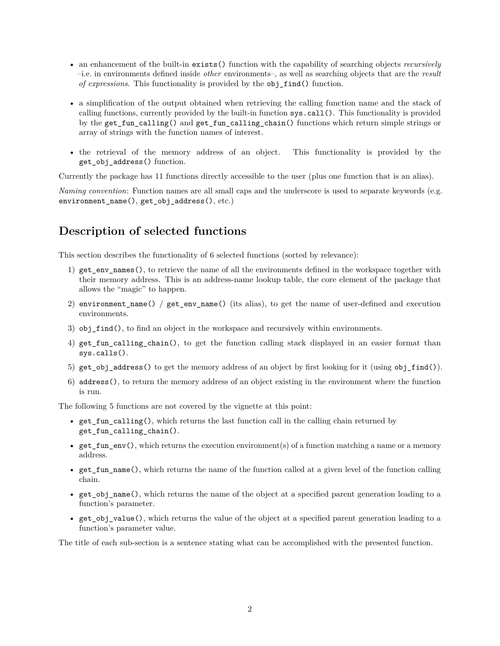- an enhancement of the built-in exists() function with the capability of searching objects *recursively* –i.e. in environments defined inside *other* environments–, as well as searching objects that are the *result of expressions*. This functionality is provided by the obj\_find() function.
- a simplification of the output obtained when retrieving the calling function name and the stack of calling functions, currently provided by the built-in function sys.call(). This functionality is provided by the get fun calling() and get fun calling chain() functions which return simple strings or array of strings with the function names of interest.
- the retrieval of the memory address of an object. This functionality is provided by the get\_obj\_address() function.

Currently the package has 11 functions directly accessible to the user (plus one function that is an alias).

*Naming convention*: Function names are all small caps and the underscore is used to separate keywords (e.g. environment\_name(), get\_obj\_address(), etc.)

# **Description of selected functions**

This section describes the functionality of 6 selected functions (sorted by relevance):

- 1) get\_env\_names(), to retrieve the name of all the environments defined in the workspace together with their memory address. This is an address-name lookup table, the core element of the package that allows the "magic" to happen.
- 2) environment\_name() / get\_env\_name() (its alias), to get the name of user-defined and execution environments.
- 3) obj  $find()$ , to find an object in the workspace and recursively within environments.
- 4) get\_fun\_calling\_chain(), to get the function calling stack displayed in an easier format than sys.calls().
- 5) get\_obj\_address() to get the memory address of an object by first looking for it (using obj\_find()).
- 6) address(), to return the memory address of an object existing in the environment where the function is run.

The following 5 functions are not covered by the vignette at this point:

- get\_fun\_calling(), which returns the last function call in the calling chain returned by get\_fun\_calling\_chain().
- get fun env(), which returns the execution environment(s) of a function matching a name or a memory address.
- get\_fun\_name(), which returns the name of the function called at a given level of the function calling chain.
- get\_obj\_name(), which returns the name of the object at a specified parent generation leading to a function's parameter.
- get obj value(), which returns the value of the object at a specified parent generation leading to a function's parameter value.

The title of each sub-section is a sentence stating what can be accomplished with the presented function.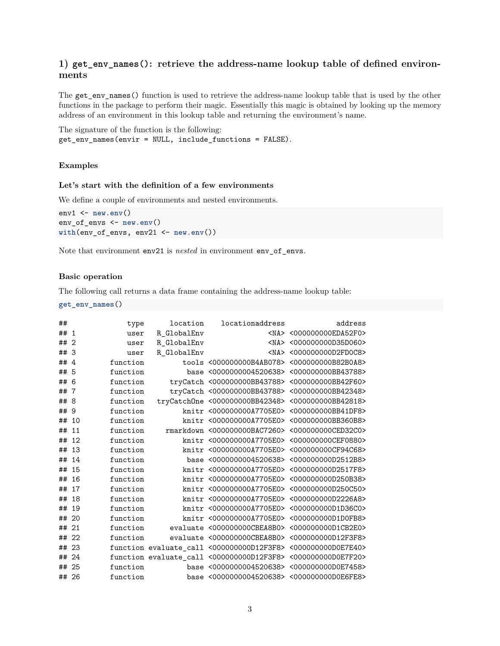## **1) get\_env\_names(): retrieve the address-name lookup table of defined environments**

The get\_env\_names() function is used to retrieve the address-name lookup table that is used by the other functions in the package to perform their magic. Essentially this magic is obtained by looking up the memory address of an environment in this lookup table and returning the environment's name.

The signature of the function is the following: get\_env\_names(envir = NULL, include\_functions = FALSE).

## **Examples**

#### **Let's start with the definition of a few environments**

We define a couple of environments and nested environments.

```
env1 <- new.env()
env_of_envs <- new.env()
with(env_of_envs, env21 <- new.env())
```
Note that environment env21 is *nested* in environment env\_of\_envs.

#### **Basic operation**

The following call returns a data frame containing the address-name lookup table:

**get\_env\_names**()

| ##    |                | type     | location    | locationaddress                                              | address                            |
|-------|----------------|----------|-------------|--------------------------------------------------------------|------------------------------------|
| ## 1  |                | user     | R GlobalEnv |                                                              | <na> &lt;000000000EDA52F0&gt;</na> |
| ##    | $\overline{2}$ | user     | R GlobalEnv |                                                              | <na> &lt;000000000D35D060&gt;</na> |
| ## 3  |                | user     | R_GlobalEnv |                                                              | <na> &lt;000000000D2FD0C8&gt;</na> |
| ##    | $\overline{4}$ | function |             | tools <000000000B4AB078> <000000000B82B0A8>                  |                                    |
| ## 5  |                | function |             | base <0000000004520638> <000000000BB43788>                   |                                    |
| ##    | 6              | function |             | tryCatch <000000000BB43788> <000000000BB42F60>               |                                    |
| ## 7  |                | function |             | tryCatch <000000000BB43788> <000000000BB42348>               |                                    |
| ##    | 8              | function |             | tryCatchOne <000000000BB42348> <000000000BB42818>            |                                    |
| ## 9  |                | function |             | knitr <000000000A7705E0> <000000000BB41DF8>                  |                                    |
| ## 10 |                | function |             | knitr <000000000A7705E0> <000000000BB360B8>                  |                                    |
| ##    | 11             | function |             | rmarkdown <000000000BAC7260> <000000000CED32C0>              |                                    |
| ## 12 |                | function |             | knitr <000000000A7705E0> <000000000CEF0880>                  |                                    |
| ## 13 |                | function |             | knitr <000000000A7705E0> <000000000CF94C68>                  |                                    |
| ##    | 14             | function |             | base <0000000004520638> <000000000D2512B8>                   |                                    |
| ## 15 |                | function |             | knitr <000000000A7705E0> <000000000D2517F8>                  |                                    |
| ##    | 16             | function |             | knitr <000000000A7705E0> <000000000D250B38>                  |                                    |
| ## 17 |                | function |             | knitr <000000000A7705E0> <000000000D250C50>                  |                                    |
| ## 18 |                | function |             | knitr <000000000A7705E0> <000000000D2226A8>                  |                                    |
| ##    | 19             | function |             | knitr <000000000A7705E0> <000000000D1D36C0>                  |                                    |
| ## 20 |                | function |             | knitr <000000000A7705E0> <000000000D1D0FB8>                  |                                    |
| ## 21 |                | function |             | evaluate <000000000CBEA8B0> <000000000D1CB2E0>               |                                    |
| ## 22 |                | function |             | evaluate <000000000CBEA8B0> <000000000D12F3F8>               |                                    |
| ## 23 |                |          |             | function evaluate_call <000000000D12F3F8> <000000000D0E7E40> |                                    |
| ## 24 |                |          |             | function evaluate_call <000000000D12F3F8> <000000000D0E7F20> |                                    |
| ## 25 |                | function |             | base <0000000004520638> <000000000D0E7458>                   |                                    |
| ## 26 |                | function |             | base <0000000004520638> <000000000D0E6FE8>                   |                                    |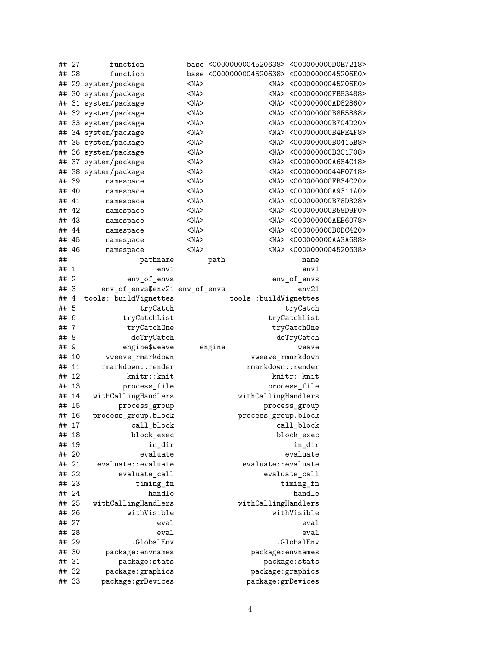|      | ## 27 | function                       |            |        | base <0000000004520638> <000000000D0E7218> |               |                                    |
|------|-------|--------------------------------|------------|--------|--------------------------------------------|---------------|------------------------------------|
|      | ## 28 | function                       |            |        | base <0000000004520638> <00000000045206E0> |               |                                    |
|      |       | ## 29 system/package           | $<$ NA $>$ |        |                                            |               | <na> &lt;00000000045206E0&gt;</na> |
| ##   |       | 30 system/package              | $<$ NA $>$ |        |                                            |               | <na> &lt;000000000FB83488&gt;</na> |
|      |       | ## 31 system/package           | $<$ NA $>$ |        |                                            |               | <na> &lt;000000000AD82860&gt;</na> |
|      |       | ## 32 system/package           | $<$ NA $>$ |        |                                            |               | <na> &lt;000000000B8E5888&gt;</na> |
|      |       | ## 33 system/package           | $<$ NA $>$ |        |                                            |               | <na> &lt;000000000B704D20&gt;</na> |
|      |       | ## 34 system/package           | $<$ NA $>$ |        |                                            |               | <na> &lt;000000000B4FE4F8&gt;</na> |
|      |       | ## 35 system/package           | $<$ NA $>$ |        |                                            |               | <na> &lt;000000000B0415B8&gt;</na> |
|      |       | ## 36 system/package           | $<$ NA $>$ |        |                                            |               | <na> &lt;000000000B3C1F08&gt;</na> |
|      |       | ## 37 system/package           | $<$ NA $>$ |        |                                            |               | <na> &lt;000000000A684C18&gt;</na> |
|      |       | ## 38 system/package           | $<$ NA $>$ |        |                                            |               | <na> &lt;00000000044F0718&gt;</na> |
|      | ## 39 | namespace                      | $<$ NA $>$ |        |                                            |               | <na> &lt;000000000FB34C20&gt;</na> |
|      | ## 40 | namespace                      | $<$ NA $>$ |        |                                            |               | <na> &lt;000000000A9311A0&gt;</na> |
|      | ## 41 | namespace                      | $<$ NA $>$ |        |                                            |               | <na> &lt;000000000B78D328&gt;</na> |
|      | ## 42 | namespace                      | $<$ NA $>$ |        |                                            |               | <na> &lt;000000000B58D9F0&gt;</na> |
|      | ## 43 | namespace                      | $<$ NA $>$ |        |                                            |               | <na> &lt;000000000AEB6078&gt;</na> |
|      | ## 44 | namespace                      | $<$ NA $>$ |        |                                            |               | <na> &lt;000000000B0DC420&gt;</na> |
|      | ## 45 | namespace                      | $<$ NA $>$ |        |                                            |               | <na> &lt;000000000AA3A688&gt;</na> |
|      | ## 46 | namespace                      | $<$ NA $>$ |        |                                            |               | <na> &lt;0000000004520638&gt;</na> |
| ##   |       | pathname                       |            | path   |                                            | name          |                                    |
| ## 1 |       | env1                           |            |        |                                            | env1          |                                    |
| ## 2 |       | env_of_envs                    |            |        |                                            | env_of_envs   |                                    |
| ## 3 |       | env_of_envs\$env21 env_of_envs |            |        |                                            | env21         |                                    |
| ##4  |       | tools::buildVignettes          |            |        | tools::buildVignettes                      |               |                                    |
| ## 5 |       | tryCatch                       |            |        |                                            | tryCatch      |                                    |
| ## 6 |       | tryCatchList                   |            |        |                                            | tryCatchList  |                                    |
| ##7  |       | tryCatchOne                    |            |        |                                            | tryCatchOne   |                                    |
| ## 8 |       | doTryCatch                     |            |        |                                            | doTryCatch    |                                    |
| ## 9 |       | engine\$weave                  |            | engine |                                            | weave         |                                    |
|      | ## 10 | vweave_rmarkdown               |            |        | vweave_rmarkdown                           |               |                                    |
|      | ## 11 | rmarkdown::render              |            |        | rmarkdown::render                          |               |                                    |
|      | ## 12 | knitr::knit                    |            |        |                                            | knitr::knit   |                                    |
|      | ## 13 | process_file                   |            |        |                                            | process_file  |                                    |
|      | ## 14 | withCallingHandlers            |            |        | withCallingHandlers                        |               |                                    |
|      | ## 15 | process_group                  |            |        |                                            | process_group |                                    |
|      | ## 16 | process_group.block            |            |        | process_group.block                        |               |                                    |
|      | ## 17 | call_block                     |            |        |                                            | call_block    |                                    |
|      | ## 18 | block_exec                     |            |        |                                            | block_exec    |                                    |
|      | ## 19 | in_dir                         |            |        |                                            | in_dir        |                                    |
|      | ## 20 | evaluate                       |            |        |                                            | evaluate      |                                    |
|      | ## 21 | evaluate::evaluate             |            |        | evaluate::evaluate                         |               |                                    |
|      | ## 22 | evaluate_call                  |            |        |                                            | evaluate_call |                                    |
|      | ## 23 | timing_fn                      |            |        |                                            | timing_fn     |                                    |
|      | ## 24 | handle                         |            |        |                                            | handle        |                                    |
|      | ## 25 | withCallingHandlers            |            |        | withCallingHandlers                        |               |                                    |
|      | ## 26 | withVisible                    |            |        |                                            | withVisible   |                                    |
|      | ## 27 | eval                           |            |        |                                            | eval          |                                    |
|      | ## 28 | eval                           |            |        |                                            | eval          |                                    |
|      | ## 29 | .GlobalEnv                     |            |        |                                            | .GlobalEnv    |                                    |
|      | ## 30 | package: envnames              |            |        | package: envnames                          |               |                                    |
|      | ## 31 | package: stats                 |            |        |                                            | package:stats |                                    |
|      | ## 32 | package: graphics              |            |        | package: graphics                          |               |                                    |
|      | ## 33 | package:grDevices              |            |        | package:grDevices                          |               |                                    |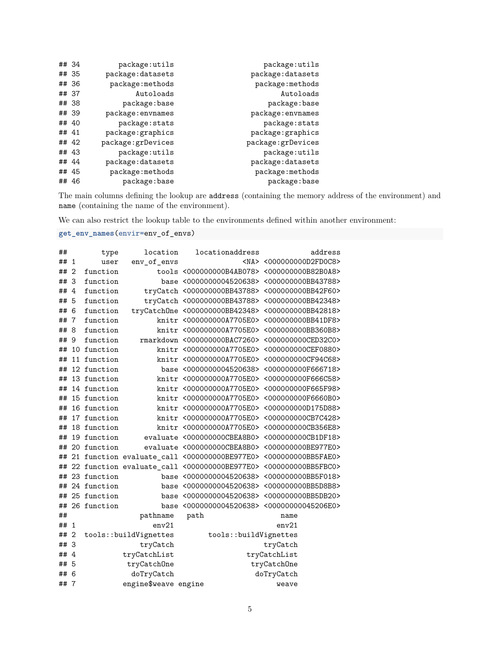| ## 34 |       | package:utils      | package:utils     |
|-------|-------|--------------------|-------------------|
| ## 35 |       | package: datasets  | package:datasets  |
| ## 36 |       | package:methods    | package:methods   |
| ## 37 |       | Autoloads          | Autoloads         |
| ## 38 |       | package:base       | package:base      |
| ## 39 |       | package: envnames  | package: envnames |
|       | ## 40 | package: stats     | package: stats    |
| ## 41 |       | package: graphics  | package: graphics |
| ## 42 |       | package: grDevices | package:grDevices |
|       | ## 43 | package:utils      | package:utils     |
| ## 44 |       | package: datasets  | package:datasets  |
| ## 45 |       | package:methods    | package:methods   |
|       | ## 46 | package:base       | package:base      |

The main columns defining the lookup are address (containing the memory address of the environment) and name (containing the name of the environment).

We can also restrict the lookup table to the environments defined within another environment:

**get\_env\_names**(envir=env\_of\_envs)

| ##   |                | type        | location              | locationaddress                                                | address                            |
|------|----------------|-------------|-----------------------|----------------------------------------------------------------|------------------------------------|
| ##   | $\mathbf{1}$   | user        | env_of_envs           |                                                                | <na> &lt;000000000D2FD0C8&gt;</na> |
| ##   | $\overline{2}$ | function    |                       | tools <000000000B4AB078> <000000000B82B0A8>                    |                                    |
| ##   | -3             | function    |                       | base <0000000004520638> <000000000BB43788>                     |                                    |
| ##4  |                | function    |                       | tryCatch <000000000BB43788> <000000000BB42F60>                 |                                    |
| ## 5 |                | function    |                       | tryCatch <000000000BB43788> <000000000BB42348>                 |                                    |
| ##   | 6              | function    |                       | tryCatchOne <000000000BB42348> <000000000BB42818>              |                                    |
| ##   | $\overline{7}$ | function    |                       | knitr <000000000A7705E0> <000000000BB41DF8>                    |                                    |
| ##   | 8              | function    |                       | knitr <000000000A7705E0> <000000000BB360B8>                    |                                    |
| ## 9 |                | function    |                       | rmarkdown <000000000BAC7260> <000000000CED32C0>                |                                    |
| ##   |                | 10 function |                       | knitr <000000000A7705E0> <000000000CEF0880>                    |                                    |
| ##   |                | 11 function |                       | knitr <000000000A7705E0> <000000000CF94C68>                    |                                    |
| ##   |                | 12 function |                       | base <0000000004520638> <000000000F666718>                     |                                    |
| ##   |                | 13 function |                       | knitr <000000000A7705E0> <000000000F666C58>                    |                                    |
| ##   |                | 14 function |                       | knitr <000000000A7705E0> <000000000F665F98>                    |                                    |
| ##   |                | 15 function |                       | knitr <000000000A7705E0> <000000000F6660B0>                    |                                    |
| ##   |                | 16 function |                       | knitr <000000000A7705E0> <000000000D175D88>                    |                                    |
| ##   |                | 17 function |                       | knitr <000000000A7705E0> <000000000CB7C428>                    |                                    |
| ##   |                | 18 function |                       | knitr <000000000A7705E0> <000000000CB356E8>                    |                                    |
| ##   |                | 19 function |                       | evaluate <000000000CBEA8B0> <000000000CB1DF18>                 |                                    |
| ##   |                | 20 function |                       | evaluate <000000000CBEA8B0> <000000000BE977E0>                 |                                    |
| ##   |                |             |                       | 21 function evaluate_call <000000000E977E0> <000000000BB5FAE0> |                                    |
| ##   |                |             |                       | 22 function evaluate_call <000000000E977E0> <000000000BB5FBC0> |                                    |
| ##   |                | 23 function |                       | base <0000000004520638> <000000000BB5F018>                     |                                    |
| ##   |                | 24 function |                       | base <0000000004520638> <000000000BB5D8B8>                     |                                    |
| ##   |                | 25 function |                       | base <0000000004520638> <000000000BB5DB20>                     |                                    |
| ##   |                | 26 function |                       | base <0000000004520638> <00000000045206E0>                     |                                    |
| ##   |                |             | pathname              | path                                                           | name                               |
| ##   | $\mathbf{1}$   |             | env21                 |                                                                | env21                              |
| ##   | $\overline{2}$ |             | tools::buildVignettes | tools::buildVignettes                                          |                                    |
| ## 3 |                |             | tryCatch              |                                                                | tryCatch                           |
| ##4  |                |             | tryCatchList          |                                                                | tryCatchList                       |
| ## 5 |                |             | tryCatchOne           |                                                                | tryCatchOne                        |
| ## 6 |                |             | doTryCatch            |                                                                | doTryCatch                         |
| ##7  |                |             | engine\$weave engine  |                                                                | weave                              |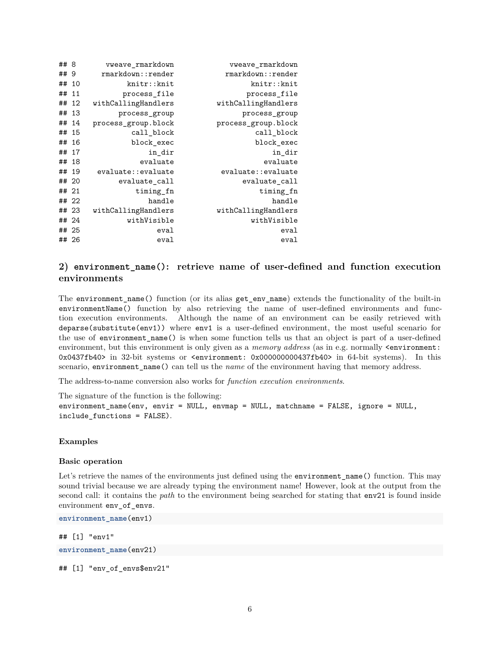| ## 8  |   | vweave rmarkdown    | vweave_rmarkdown    |
|-------|---|---------------------|---------------------|
| ##    | 9 | rmarkdown::render   | rmarkdown::render   |
| ## 10 |   | knitr::knit         | knitr::knit         |
| ## 11 |   | process_file        | process_file        |
| ## 12 |   | withCallingHandlers | withCallingHandlers |
| ## 13 |   | process_group       | process_group       |
| ## 14 |   | process group.block | process group.block |
| ## 15 |   | call block          | call block          |
| ## 16 |   | block exec          | block exec          |
| ## 17 |   | in_dir              | in_dir              |
| ## 18 |   | evaluate            | evaluate            |
| ## 19 |   | evaluate::evaluate  | evaluate::evaluate  |
| ## 20 |   | evaluate call       | evaluate call       |
| ## 21 |   | timing fn           | timing_fn           |
| ## 22 |   | handle              | handle              |
| ## 23 |   | withCallingHandlers | withCallingHandlers |
| ## 24 |   | withVisible         | withVisible         |
| ## 25 |   | eval                | eval                |
| ## 26 |   | eval                | eval                |

# **2) environment\_name(): retrieve name of user-defined and function execution environments**

The environment\_name() function (or its alias get\_env\_name) extends the functionality of the built-in environmentName() function by also retrieving the name of user-defined environments and function execution environments. Although the name of an environment can be easily retrieved with deparse(substitute(env1)) where env1 is a user-defined environment, the most useful scenario for the use of environment name() is when some function tells us that an object is part of a user-defined environment, but this environment is only given as a *memory address* (as in e.g. normally <environment: 0x0437fb40> in 32-bit systems or <environment: 0x000000000437fb40> in 64-bit systems). In this scenario, environment\_name() can tell us the *name* of the environment having that memory address.

The address-to-name conversion also works for *function execution environments*.

The signature of the function is the following: environment\_name(env, envir = NULL, envmap = NULL, matchname = FALSE, ignore = NULL, include\_functions = FALSE).

#### **Examples**

#### **Basic operation**

Let's retrieve the names of the environments just defined using the environment name() function. This may sound trivial because we are already typing the environment name! However, look at the output from the second call: it contains the *path* to the environment being searched for stating that env21 is found inside environment env\_of\_envs.

**environment\_name**(env1)

## [1] "env1" **environment\_name**(env21)

## [1] "env of envs\$env21"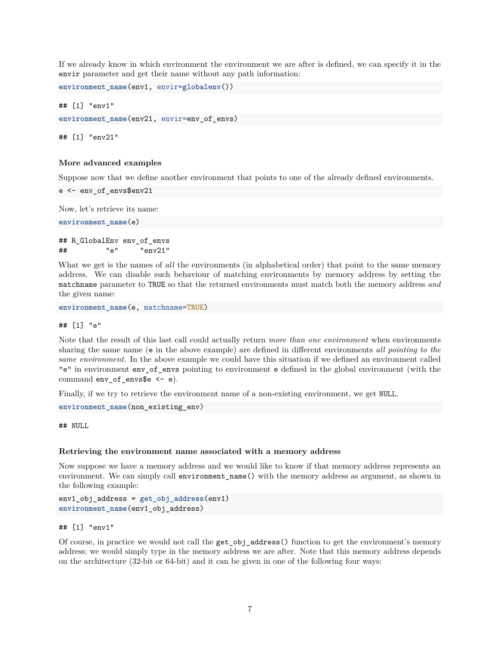If we already know in which environment the environment we are after is defined, we can specify it in the envir parameter and get their name without any path information:

```
environment_name(env1, envir=globalenv())
```

```
## [1] "env1"
environment name(env21, envir=env of envs)
```
## [1] "env21"

#### **More advanced examples**

Suppose now that we define another environment that points to one of the already defined environments.

```
e <- env_of_envs$env21
```
Now, let's retrieve its name:

```
environment_name(e)
```

```
## R_GlobalEnv env_of_envs
## "e" "env21"
```
What we get is the names of *all* the environments (in alphabetical order) that point to the same memory address. We can disable such behaviour of matching environments by memory address by setting the matchname parameter to TRUE so that the returned environments must match both the memory address *and* the given name:

```
environment_name(e, matchname=TRUE)
```
## ## [1] "e"

Note that the result of this last call could actually return *more than one environment* when environments sharing the same name (e in the above example) are defined in different environments *all pointing to the same environment*. In the above example we could have this situation if we defined an environment called "e" in environment env\_of\_envs pointing to environment e defined in the global environment (with the command env of envs\$e  $\leftarrow$  e).

Finally, if we try to retrieve the environment name of a non-existing environment, we get NULL.

```
environment_name(non_existing_env)
```
## NULL

#### **Retrieving the environment name associated with a memory address**

Now suppose we have a memory address and we would like to know if that memory address represents an environment. We can simply call environment\_name() with the memory address as argument, as shown in the following example:

```
env1_obj_address = get_obj_address(env1)
environment_name(env1_obj_address)
```
#### ## [1] "env1"

Of course, in practice we would not call the get\_obj\_address() function to get the environment's memory address; we would simply type in the memory address we are after. Note that this memory address depends on the architecture (32-bit or 64-bit) and it can be given in one of the following four ways: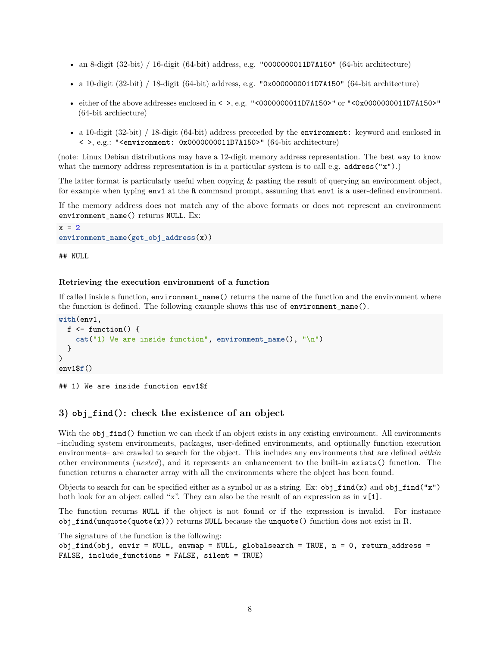- an 8-digit  $(32-bit) / 16$ -digit  $(64-bit)$  address, e.g. "0000000011D7A150"  $(64-bit)$  architecture)
- a 10-digit  $(32-bit) / 18$ -digit  $(64-bit)$  address, e.g. "0x0000000011D7A150"  $(64-bit architecture)$
- either of the above addresses enclosed in  $\lt$  >, e.g. " $\lt$ 0000000011D7A150>" or " $\lt$ 0x0000000011D7A150>" (64-bit archiecture)
- a 10-digit (32-bit) / 18-digit (64-bit) address preceeded by the environment: keyword and enclosed in < >, e.g.: "<environment: 0x0000000011D7A150>" (64-bit architecture)

(note: Linux Debian distributions may have a 12-digit memory address representation. The best way to know what the memory address representation is in a particular system is to call e.g.  $address("x").$ 

The latter format is particularly useful when copying & pasting the result of querying an environment object, for example when typing env1 at the R command prompt, assuming that env1 is a user-defined environment.

If the memory address does not match any of the above formats or does not represent an environment environment name() returns NULL. Ex:

```
x = 2environment_name(get_obj_address(x))
```
## NULL

#### **Retrieving the execution environment of a function**

If called inside a function, environment\_name() returns the name of the function and the environment where the function is defined. The following example shows this use of environment\_name().

```
with(env1,
  f \leftarrow function() {
    cat("1) We are inside function", environment_name(), "\n")
  }
)
env1$f()
```
## 1) We are inside function env1\$f

## **3) obj\_find(): check the existence of an object**

With the obj\_find() function we can check if an object exists in any existing environment. All environments –including system environments, packages, user-defined environments, and optionally function execution environments– are crawled to search for the object. This includes any environments that are defined *within* other environments (*nested*), and it represents an enhancement to the built-in exists() function. The function returns a character array with all the environments where the object has been found.

Objects to search for can be specified either as a symbol or as a string. Ex:  $obj\_find(x)$  and  $obj\_find('x")$ both look for an object called "x". They can also be the result of an expression as in  $v[1]$ .

The function returns NULL if the object is not found or if the expression is invalid. For instance obj\_find(unquote(quote(x))) returns NULL because the unquote() function does not exist in R.

The signature of the function is the following:  $obj\_find(obj, envir = NULL, envmap = NULL, globalsearch = TRUE, n = 0, return\_address =$ FALSE, include\_functions = FALSE, silent = TRUE)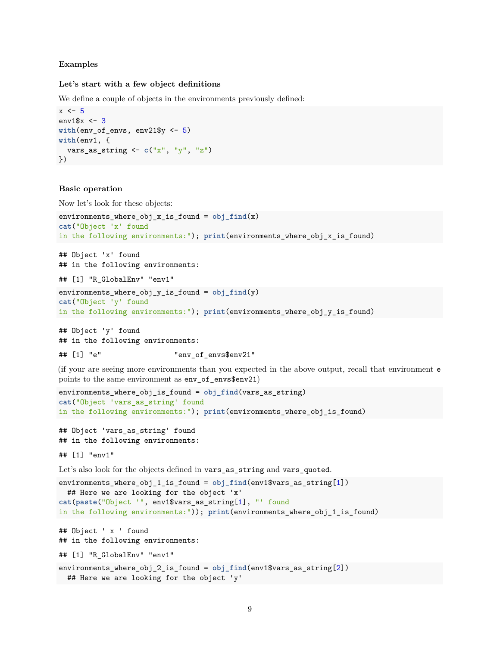#### **Examples**

#### **Let's start with a few object definitions**

We define a couple of objects in the environments previously defined:

```
x \leftarrow 5env1$x <- 3
with(env_of_envs, env21$y <- 5)
with(env1, {
  vars_as_string <- c("x", "y", "z")
})
```
#### **Basic operation**

Now let's look for these objects:

```
environments_where_obj_x_is_found = obj_find(x)
cat("Object 'x' found
in the following environments:"); print(environments_where_obj_x_is_found)
```
## Object 'x' found ## in the following environments: ## [1] "R\_GlobalEnv" "env1"

```
environments_where_obj_y_is_found = obj_find(y)
cat("Object 'y' found
in the following environments:"); print(environments_where_obj_y_is_found)
```
## Object 'y' found ## in the following environments:

## [1] "e" "env\_of\_envs\$env21"

(if your are seeing more environments than you expected in the above output, recall that environment e points to the same environment as env of envs\$env21)

```
environments_where_obj_is_found = obj_find(vars_as_string)
cat("Object 'vars_as_string' found
in the following environments:"); print(environments_where_obj_is_found)
```
## Object 'vars\_as\_string' found ## in the following environments:

## [1] "env1"

Let's also look for the objects defined in vars\_as\_string and vars\_quoted.

```
environments_where_obj_1_is_found = obj_find(env1$vars_as_string[1])
 ## Here we are looking for the object 'x'
cat(paste("Object '", env1$vars_as_string[1], "' found
in the following environments:")); print(environments_where_obj_1_is_found)
## Object ' x ' found
## in the following environments:
## [1] "R_GlobalEnv" "env1"
environments_where_obj_2_is_found = obj_find(env1$vars_as_string[2])
 ## Here we are looking for the object 'y'
```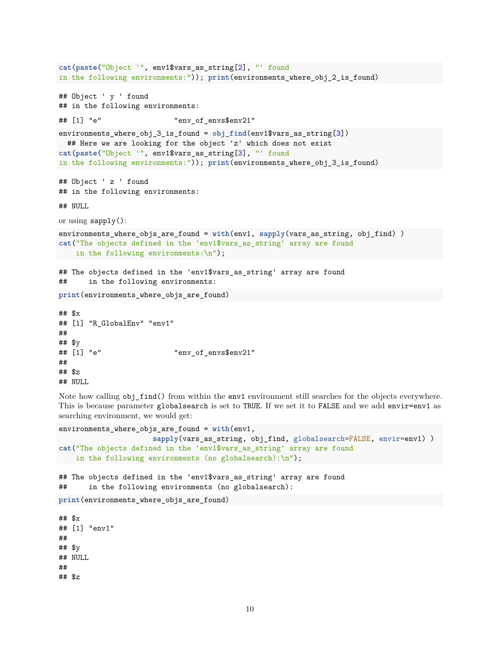```
cat(paste("Object '", env1$vars_as_string[2], "' found
in the following environments:")); print(environments_where_obj_2_is_found)
## Object ' y ' found
## in the following environments:
## [1] "e" "env_of_envs$env21"
environments_where_obj_3_is_found = obj_find(env1$vars_as_string[3])
  ## Here we are looking for the object 'z' which does not exist
cat(paste("Object '", env1$vars_as_string[3], "' found
in the following environments:")); print(environments_where_obj_3_is_found)
## Object ' z ' found
## in the following environments:
## NULL
or using sapply():
environments_where_objs_are_found = with(env1, sapply(vars_as_string, obj_find) )
cat("The objects defined in the 'env1$vars_as_string' array are found
    in the following environments:\n\langle n''\rangle;
## The objects defined in the 'env1$vars_as_string' array are found
## in the following environments:
print(environments_where_objs_are_found)
## $x
## [1] "R_GlobalEnv" "env1"
##
## $y
## [1] "e" "env_of_envs$env21"
##
## $z
```

```
## NULL
```
Note how calling  $obj\_find()$  from within the env1 environment still searches for the objects everywhere. This is because parameter globalsearch is set to TRUE. If we set it to FALSE and we add envir=env1 as searching environment, we would get:

```
environments_where_objs_are_found = with(env1,
                       sapply(vars_as_string, obj_find, globalsearch=FALSE, envir=env1) )
cat("The objects defined in the 'env1$vars_as_string' array are found
    in the following environments (no globalsearch):\n\langle n''\rangle;
## The objects defined in the 'env1$vars_as_string' array are found
## in the following environments (no globalsearch):
print(environments_where_objs_are_found)
## $x
## [1] "env1"
##
## $y
## NULL
##
## $z
```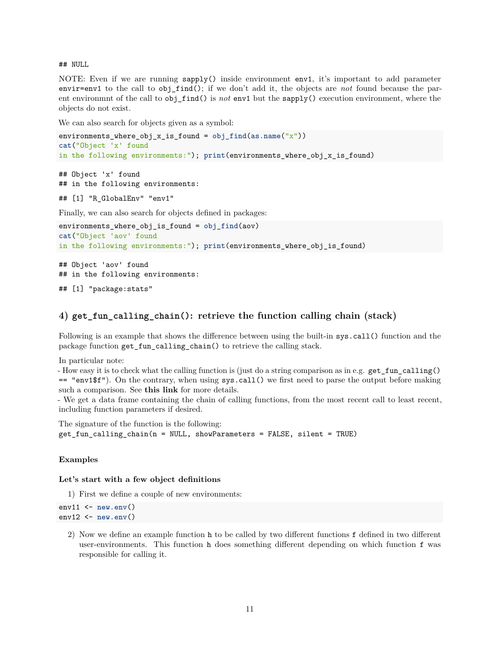## NULL

NOTE: Even if we are running sapply() inside environment env1, it's important to add parameter envir=env1 to the call to obj\_find(); if we don't add it, the objects are *not* found because the parent environmnt of the call to obj\_find() is *not* env1 but the sapply() execution environment, where the objects do not exist.

We can also search for objects given as a symbol:

```
environments_where_obj_x_is_found = obj_find(as.name("x"))
cat("Object 'x' found
in the following environments:"); print(environments_where_obj_x_is_found)
## Object 'x' found
## in the following environments:
## [1] "R_GlobalEnv" "env1"
Finally, we can also search for objects defined in packages:
environments_where_obj_is_found = obj_find(aov)
cat("Object 'aov' found
in the following environments:"); print(environments_where_obj_is_found)
## Object 'aov' found
## in the following environments:
```
## [1] "package:stats"

#### **4) get\_fun\_calling\_chain(): retrieve the function calling chain (stack)**

Following is an example that shows the difference between using the built-in sys.call() function and the package function get\_fun\_calling\_chain() to retrieve the calling stack.

In particular note:

- How easy it is to check what the calling function is (just do a string comparison as in e.g. get\_fun\_calling() == "env1\$f"). On the contrary, when using sys.call() we first need to parse the output before making such a comparison. See **[this link](http://stackoverflow.com/questions/15595478/how-to-get-the-name-of-the-calling-function-inside-the-called-routine)** for more details.

- We get a data frame containing the chain of calling functions, from the most recent call to least recent, including function parameters if desired.

The signature of the function is the following:  $get_fun_{calling_{chain}(n = NULL, showParameters = FALSE, silent = TRUE)$ 

#### **Examples**

#### **Let's start with a few object definitions**

1) First we define a couple of new environments:

env11 <- **new.env**() env12 <- **new.env**()

> 2) Now we define an example function h to be called by two different functions f defined in two different user-environments. This function h does something different depending on which function f was responsible for calling it.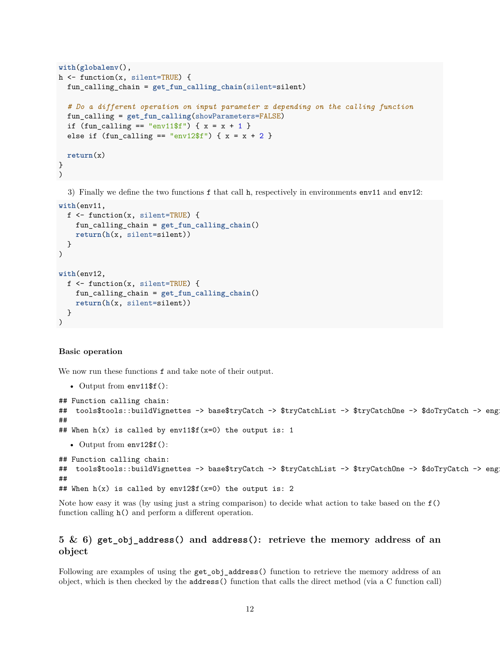```
with(globalenv(),
h <- function(x, silent=TRUE) {
  fun_calling_chain = get_fun_calling_chain(silent=silent)
  # Do a different operation on input parameter x depending on the calling function
  fun_calling = get_fun_calling(showParameters=FALSE)
  if (fun_calling == "env11$f") { x = x + 1 }
  else if (fun calling == "env12$f") { x = x + 2 }
  return(x)
}
)
```
3) Finally we define the two functions f that call h, respectively in environments env11 and env12:

```
with(env11,
  f <- function(x, silent=TRUE) {
    fun_calling_chain = get_fun_calling_chain()
    return(h(x, silent=silent))
  }
)
with(env12,
  f <- function(x, silent=TRUE) {
    fun_calling_chain = get_fun_calling_chain()
    return(h(x, silent=silent))
  }
\mathcal{L}
```
#### **Basic operation**

We now run these functions f and take note of their output.

```
• Output from env11$f():
```

```
## Function calling chain:
## tools$tools::buildVignettes -> base$tryCatch -> $tryCatchList -> $tryCatchOne -> $doTryCatch -> eng
##
## When h(x) is called by env11$f(x=0) the output is: 1
  • Output from env12$f():
## Function calling chain:
## tools$tools::buildVignettes -> base$tryCatch -> $tryCatchList -> $tryCatchOne -> $doTryCatch -> eng
##
## When h(x) is called by env12$f(x=0) the output is: 2
```
Note how easy it was (by using just a string comparison) to decide what action to take based on the f() function calling h() and perform a different operation.

## **5 & 6) get\_obj\_address() and address(): retrieve the memory address of an object**

Following are examples of using the get\_obj\_address() function to retrieve the memory address of an object, which is then checked by the address() function that calls the direct method (via a C function call)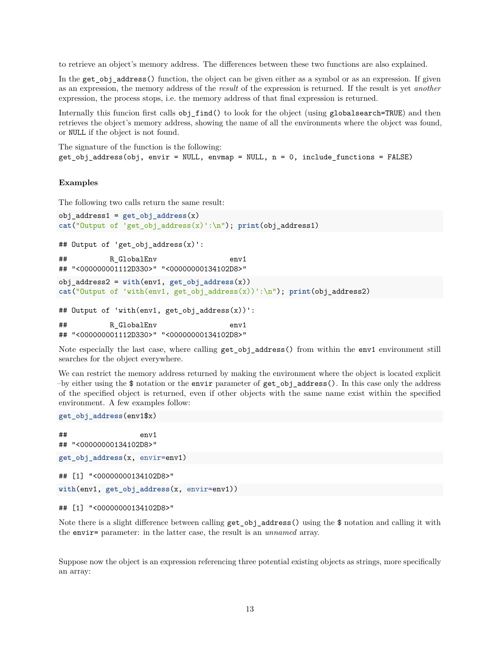to retrieve an object's memory address. The differences between these two functions are also explained.

In the get\_obj\_address() function, the object can be given either as a symbol or as an expression. If given as an expression, the memory address of the *result* of the expression is returned. If the result is yet *another* expression, the process stops, i.e. the memory address of that final expression is returned.

Internally this funcion first calls obj\_find() to look for the object (using globalsearch=TRUE) and then retrieves the object's memory address, showing the name of all the environments where the object was found, or NULL if the object is not found.

The signature of the function is the following:  $get\_obj\_address(obj, envir = NULL, envmap = NULL, n = 0, include_function = FALSE)$ 

#### **Examples**

The following two calls return the same result:

```
obj_address1 = get_obj_address(x)
cat("Output of 'get_obj_address(x)':\n"); print(obj_address1)
## Output of 'get_obj_address(x)':
## R_GlobalEnv env1
## "<000000001112D330>" "<00000000134102D8>"
obj_address2 = with(env1, get_obj_address(x))
cat("Output of 'with(env1, get_obj_address(x))':\n"); print(obj_address2)
## Output of 'with(env1, get_obj_address(x))':
## R GlobalEnv env1
## "<000000001112D330>" "<00000000134102D8>"
```
Note especially the last case, where calling  $get\_obj\_address()$  from within the env1 environment still searches for the object everywhere.

We can restrict the memory address returned by making the environment where the object is located explicit –by either using the  $\$$  notation or the envir parameter of get obj address(). In this case only the address of the specified object is returned, even if other objects with the same name exist within the specified environment. A few examples follow:

```
get_obj_address(env1$x)
```
## env1 ## "<00000000134102D8>" **get\_obj\_address**(x, envir=env1) ## [1] "<00000000134102D8>" **with**(env1, **get\_obj\_address**(x, envir=env1))

```
## [1] "<00000000134102D8>"
```
Note there is a slight difference between calling get\_obj\_address() using the \$ notation and calling it with the envir= parameter: in the latter case, the result is an *unnamed* array.

Suppose now the object is an expression referencing three potential existing objects as strings, more specifically an array: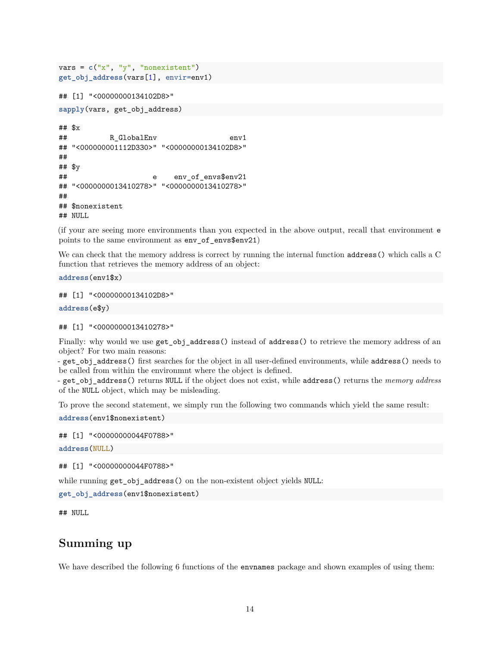```
vars = c("x", "y", "nonexistent")
get_obj_address(vars[1], envir=env1)
## [1] "<00000000134102D8>"
sapply(vars, get_obj_address)
## $x
## R GlobalEnv env1
## "<000000001112D330>" "<00000000134102D8>"
##
## $y
## e env of envs$env21
## "<0000000013410278>" "<0000000013410278>"
##
## $nonexistent
## NULL
```
(if your are seeing more environments than you expected in the above output, recall that environment e points to the same environment as env\_of\_envs\$env21)

We can check that the memory address is correct by running the internal function address() which calls a C function that retrieves the memory address of an object:

**address**(env1\$x)

## [1] "<00000000134102D8>"

**address**(e\$y)

## [1] "<0000000013410278>"

Finally: why would we use  $get\_obj\_address()$  instead of address() to retrieve the memory address of an object? For two main reasons:

- get\_obj\_address() first searches for the object in all user-defined environments, while address() needs to be called from within the environmnt where the object is defined.

- get\_obj\_address() returns NULL if the object does not exist, while address() returns the *memory address* of the NULL object, which may be misleading.

To prove the second statement, we simply run the following two commands which yield the same result:

**address**(env1\$nonexistent)

## [1] "<00000000044F0788>"

**address**(NULL)

## [1] "<00000000044F0788>"

while running get\_obj\_address() on the non-existent object yields NULL:

**get\_obj\_address**(env1\$nonexistent)

## NULL

## **Summing up**

We have described the following 6 functions of the **envnames** package and shown examples of using them: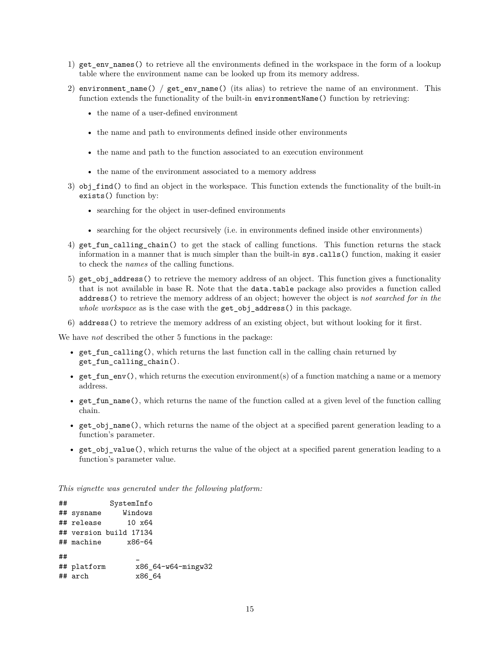- 1) get env names() to retrieve all the environments defined in the workspace in the form of a lookup table where the environment name can be looked up from its memory address.
- 2) environment\_name() /  $get\_env\_name()$  (its alias) to retrieve the name of an environment. This function extends the functionality of the built-in environmentName() function by retrieving:
	- the name of a user-defined environment
	- the name and path to environments defined inside other environments
	- the name and path to the function associated to an execution environment
	- the name of the environment associated to a memory address
- 3) obj\_find() to find an object in the workspace. This function extends the functionality of the built-in exists() function by:
	- searching for the object in user-defined environments
	- searching for the object recursively (i.e. in environments defined inside other environments)
- 4) get\_fun\_calling\_chain() to get the stack of calling functions. This function returns the stack information in a manner that is much simpler than the built-in sys.calls() function, making it easier to check the *names* of the calling functions.
- 5) get\_obj\_address() to retrieve the memory address of an object. This function gives a functionality that is not available in base R. Note that the data.table package also provides a function called address() to retrieve the memory address of an object; however the object is *not searched for in the whole workspace* as is the case with the get\_obj\_address() in this package.
- 6) address() to retrieve the memory address of an existing object, but without looking for it first.

We have *not* described the other 5 functions in the package:

- get\_fun\_calling(), which returns the last function call in the calling chain returned by get fun calling chain().
- get\_fun\_env(), which returns the execution environment(s) of a function matching a name or a memory address.
- get  $fun$  name(), which returns the name of the function called at a given level of the function calling chain.
- get\_obj\_name(), which returns the name of the object at a specified parent generation leading to a function's parameter.
- get  $obj$  value(), which returns the value of the object at a specified parent generation leading to a function's parameter value.

*This vignette was generated under the following platform:*

| ## |             | SystemInfo             |                    |
|----|-------------|------------------------|--------------------|
|    | ## sysname  | Windows                |                    |
|    | ## release  | 10 x64                 |                    |
|    |             | ## version build 17134 |                    |
|    | ## machine  | x86-64                 |                    |
| ## | ## platform |                        | x86 64-w64-mingw32 |
|    | ## arch     | x86 64                 |                    |
|    |             |                        |                    |